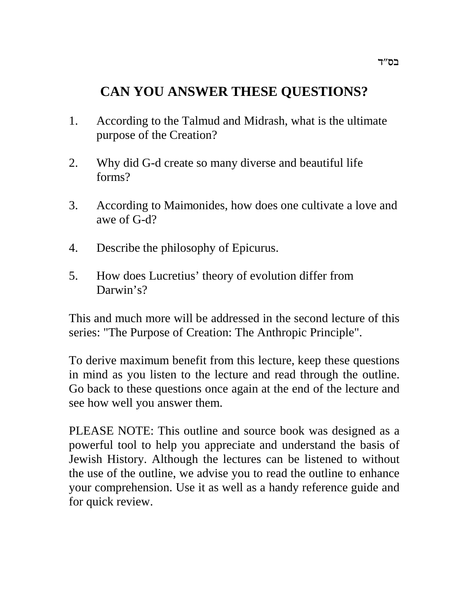# **CAN YOU ANSWER THESE QUESTIONS?**

- 1. According to the Talmud and Midrash, what is the ultimate purpose of the Creation?
- 2. Why did G-d create so many diverse and beautiful life forms?
- 3. According to Maimonides, how does one cultivate a love and awe of G-d?
- 4. Describe the philosophy of Epicurus.
- 5. How does Lucretius' theory of evolution differ from Darwin's?

This and much more will be addressed in the second lecture of this series: "The Purpose of Creation: The Anthropic Principle".

To derive maximum benefit from this lecture, keep these questions in mind as you listen to the lecture and read through the outline. Go back to these questions once again at the end of the lecture and see how well you answer them.

PLEASE NOTE: This outline and source book was designed as a powerful tool to help you appreciate and understand the basis of Jewish History. Although the lectures can be listened to without the use of the outline, we advise you to read the outline to enhance your comprehension. Use it as well as a handy reference guide and for quick review.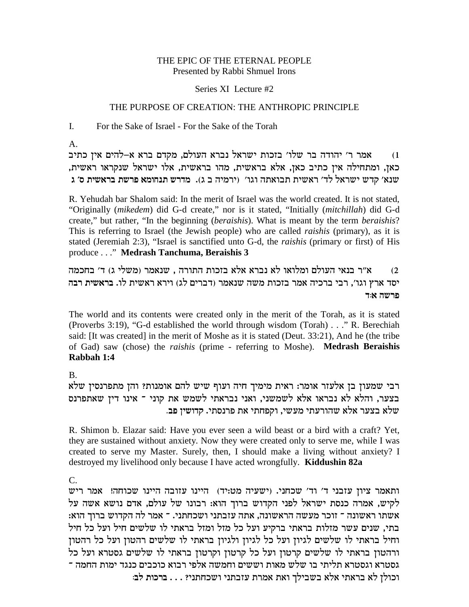## THE EPIC OF THE ETERNAL PEOPLE Presented by Rabbi Shmuel Irons

#### Series XI Lecture #2

### THE PURPOSE OF CREATION: THE ANTHROPIC PRINCIPLE

For the Sake of Israel - For the Sake of the Torah I.

A.

אמר ר' יהודה בר שלו' בזכות ישראל נברא העולם, מקדם ברא א-להים אין כתיב ' , כאן, ומתחילה אין כתיב כאן, אלא בראשית, מהו בראשית, אלו ישראל שנקראו ראשית **b 'q ziy`xa zyxt `negpz yxcn** .(b a dinxi) 'ebe dz`eaz ziy`x 'cl l`xyi ycw '`py

R. Yehudah bar Shalom said: In the merit of Israel was the world created. It is not stated, "Originally (*mikedem*) did G-d create," nor is it stated, "Initially (*mitchillah*) did G-d create," but rather, "In the beginning (*beraishis*). What is meant by the term *beraishis*? This is referring to Israel (the Jewish people) who are called *raishis* (primary), as it is stated (Jeremiah 2:3), "Israel is sanctified unto G-d, the *raishis* (primary or first) of His produce . . ." **Medrash Tanchuma, Beraishis 3**

מ'ר בנאי העולם ומלואו לא נברא אלא בזכות התורה , שנאמר (משלי ג) ד׳ בחכמה  $\alpha$ יסד ארץ וגו׳, רבי ברכיה אמר בזכות משה שנאמר (דברים לג) וירא ראשית לו. ב**רא**שית רבה פרשה א:ד

The world and its contents were created only in the merit of the Torah, as it is stated (Proverbs 3:19), "G-d established the world through wisdom (Torah) . . ." R. Berechiah said: [It was created] in the merit of Moshe as it is stated (Deut. 33:21), And he (the tribe of Gad) saw (chose) the *raishis* (prime - referring to Moshe). **Medrash Beraishis Rabbah 1:4**

B.

רבי שמעון בן אלעזר אומר: ראית מימיך חיה ועוף שיש להם אומנות? והן מתפרנסין שלא בצער, והלא לא נבראו אלא לשמשני, ואני נבראתי לשמש את קוני ־ אינו דין שאתפרנס . שלא בצער אלא שהורעתי מעשי, וקפחתי את פרנסתי. קדושין פב

R. Shimon b. Elazar said: Have you ever seen a wild beast or a bird with a craft? Yet, they are sustained without anxiety. Now they were created only to serve me, while I was created to serve my Master. Surely, then, I should make a living without anxiety? I destroyed my livelihood only because I have acted wrongfully. **Kiddushin 82a**

C.

ותאמר ציון עזבני ד' וד' שכחני. (ישעיה מט:יד) היינו עזובה היינו שכוחה! אמר ריש לקיש, אמרה כנסת ישראל לפני הקדוש ברוך הוא: רבונו של עולם, אדם נושא אשה על : אשתו ראשונה ־ זוכר מעשה הראשונה, אתה עזבתני ושכחתני. ־ אמר לה הקדוש ברוך הוא בתי, שנים עשר מזלות בראתי ברקיע ועל כל מזל ומזל בראתי לו שלשים חיל ועל כל חיל וחיל בראתי לו שלשים לגיוז ועל כל לגיוז ולגיוז בראתי לו שלשים רהטוז ועל כל רהטוז ורהטון בראתי לו שלשים קרטון ועל כל קרטון וקרטון בראתי לו שלשים גסטרא ועל כל .<br>גסטרא וגסטרא תליתי בו שלש מאות וששים וחמשה אלפי רבוא כוכבים כנגד ימות החמה <sup>-</sup> **:al zekxa** . . . ?ipzgkye ipzafr zxn` z`e jliaya `l` iz`xa `l oleke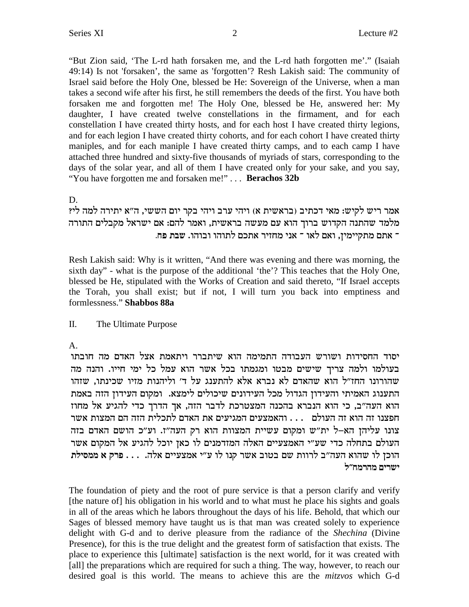"But Zion said, 'The L-rd hath forsaken me, and the L-rd hath forgotten me'." (Isaiah 49:14) Is not 'forsaken', the same as 'forgotten'? Resh Lakish said: The community of Israel said before the Holy One, blessed be He: Sovereign of the Universe, when a man takes a second wife after his first, he still remembers the deeds of the first. You have both forsaken me and forgotten me! The Holy One, blessed be He, answered her: My daughter, I have created twelve constellations in the firmament, and for each constellation I have created thirty hosts, and for each host I have created thirty legions, and for each legion I have created thirty cohorts, and for each cohort I have created thirty maniples, and for each maniple I have created thirty camps, and to each camp I have attached three hundred and sixty-five thousands of myriads of stars, corresponding to the days of the solar year, and all of them I have created only for your sake, and you say, "You have forgotten me and forsaken me!"... Berachos 32b

# D.

אמר ריש לקיש: מאי דכתיב (בראשית א) ויהי ערב ויהי בקר יום הששי, ה"א יתירה למה לי? מלמד שהתנה הקדוש ברוך הוא עם מעשה בראשית, ואמר להם: אם ישראל מקבלים התורה ־ אתם מתקיימין, ואם לאו ־ אני מחזיר אתכם לתוהו ובוהו. שבת פח.

Resh Lakish said: Why is it written, "And there was evening and there was morning, the sixth day" - what is the purpose of the additional 'the'? This teaches that the Holy One, blessed be He, stipulated with the Works of Creation and said thereto, "If Israel accepts the Torah, you shall exist; but if not, I will turn you back into emptiness and formlessness." Shabbos 88a

#### $\Pi$ . The Ultimate Purpose

 $A_{\cdot}$ 

יסוד החסידות ושורש העבודה התמימה הוא שיתברר ויתאמת אצל האדם מה חובתו בעולמו ולמה צריך שישים מבטו ומגמתו בכל אשר הוא עמל כל ימי חייו. והנה מה שהורונו החז"ל הוא שהאדם לא נברא אלא להתענג על ד' וליהנות מזיו שכינתו, שזהו התענוג האמיתי והעידון הגדול מכל העידונים שיכולים לימצא. ומקום העידון הזה באמת הוא העה״ב, כי הוא הנברא בהכנה המצטרכת לדבר הזה, אך הדרך כדי להגיע אל מחוז חפצנו זה הוא זה העולם ... והאמצעים המגיעים את האדם לתכלית הזה הם המצות אשר צונו עליהז הא–ל ית״ש ומקום עשיית המצוות הוא רק העה״ז. וע״כ הושם האדם בזה העולם בתחלה כדי שע״י האמצעיים האלה המזדמנים לו כאן יוכל להגיע אל המקום אשר הוכן לו שהוא העה"ב לרוות שם בטוב אשר קנו לו ע"י אמצעיים אלה. . . . פרק א ממסילת ישרים מהרמח״ל

The foundation of piety and the root of pure service is that a person clarify and verify [the nature of] his obligation in his world and to what must he place his sights and goals in all of the areas which he labors throughout the days of his life. Behold, that which our Sages of blessed memory have taught us is that man was created solely to experience delight with G-d and to derive pleasure from the radiance of the Shechina (Divine Presence), for this is the true delight and the greatest form of satisfaction that exists. The place to experience this [ultimate] satisfaction is the next world, for it was created with [all] the preparations which are required for such a thing. The way, however, to reach our desired goal is this world. The means to achieve this are the mitzvos which G-d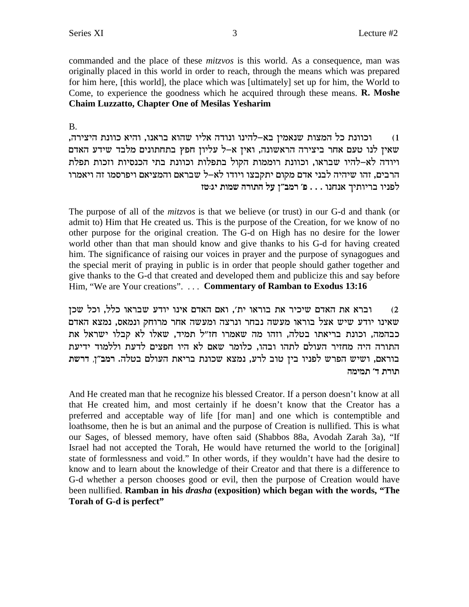commanded and the place of these *mitzvos* is this world. As a consequence, man was originally placed in this world in order to reach, through the means which was prepared for him here, [this world], the place which was [ultimately] set up for him, the World to Come, to experience the goodness which he acquired through these means. **R. Moshe Chaim Luzzatto, Chapter One of Mesilas Yesharim** 

## $B<sub>1</sub>$

וכוונת כל המצות שנאמין בא–להינו ונודה אליו שהוא בראנו, והיא כוונת היצירה,  $(1)$ שאין לנו טעם אחר ביצירה הראשונה, ואין א–ל עליון חפץ בתחתונים מלבד שידע האדם ויודה לא-להיו שבראו, וכוונת רוממות הקול בתפלות וכוונת בתי הכנסיות וזכות תפלת הרבים, זהו שיהיה לבני אדם מקום יתקבצו ויודו לא–ל שבראם והמציאם ויפרסמו זה ויאמרו לפניו בריותיך אנחנו . . . פ׳ רמב״ן על התורה שמות יג:טז

The purpose of all of the *mitzvos* is that we believe (or trust) in our G-d and thank (or admit to) Him that He created us. This is the purpose of the Creation, for we know of no other purpose for the original creation. The G-d on High has no desire for the lower world other than that man should know and give thanks to his G-d for having created him. The significance of raising our voices in prayer and the purpose of synagogues and the special merit of praying in public is in order that people should gather together and give thanks to the G-d that created and developed them and publicize this and say before Him, "We are Your creations". . . . Commentary of Ramban to Exodus 13:16

וברא את האדם שיכיר את בוראו ית׳, ואם האדם אינו יודע שבראו כלל, וכל שכן  $(2)$ שאינו יודע שיש אצל בוראו מעשה נבחר ונרצה ומעשה אחר מרוחק ונמאס, נמצא האדם כבהמה, וכונת בריאתו בטלה, וזהו מה שאמרו חז"ל תמיד, שאלו לא קבלו ישראל את התורה היה מחזיר העולם לתהו ובהו, כלומר שאם לא היו חפצים לדעת וללמוד ידיעת בוראם, ושיש הפרש לפניו בין טוב לרע, נמצא שכונת בריאת העולם בטלה. רמב"ן, דרשת תורת ד' תמימה

And He created man that he recognize his blessed Creator. If a person doesn't know at all that He created him, and most certainly if he doesn't know that the Creator has a preferred and acceptable way of life [for man] and one which is contemptible and loathsome, then he is but an animal and the purpose of Creation is nullified. This is what our Sages, of blessed memory, have often said (Shabbos 88a, Avodah Zarah 3a), "If Israel had not accepted the Torah, He would have returned the world to the [original] state of formlessness and void." In other words, if they wouldn't have had the desire to know and to learn about the knowledge of their Creator and that there is a difference to G-d whether a person chooses good or evil, then the purpose of Creation would have been nullified. Ramban in his *drasha* (exposition) which began with the words, "The Torah of G-d is perfect"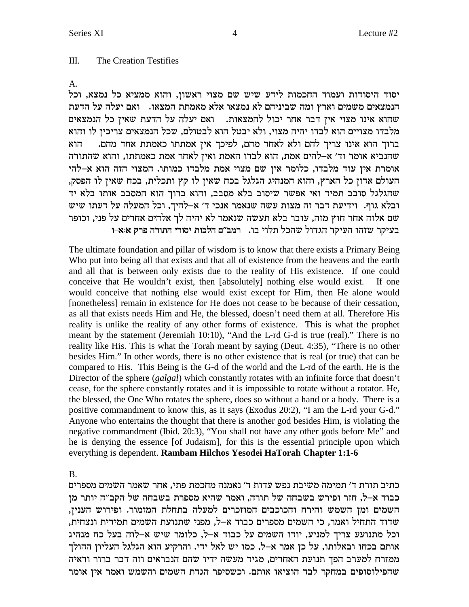#### $III.$ The Creation Testifies

 $A_{1}$ 

יסוד היסודות ועמוד החכמות לידע שיש שם מצוי ראשון, והוא ממציא כל נמצא, וכל הנמצאים משמים וארץ ומה שביניהם לא נמצאו אלא מאמתת המצאו. - ואם יעלה על הדעת שהוא אינו מצוי אין דבר אחר יכול להמצאות. נאם יעלה על הדעת שאין כל הנמצאים מלבדו מצויים הוא לבדו יהיה מצוי, ולא יבטל הוא לבטולם, שכל הנמצאים צריכין לו והוא ברוך הוא אינו צריך להם ולא לאחד מהם, לפיכך אין אמתתו כאמתת אחד מהם. הוא שהנביא אומר וד׳ א–להים אמת, הוא לבדו האמת ואין לאחר אמת כאמתתו, והוא שהתורה אומרת אין עוד מלבדו, כלומר אין שם מצוי אמת מלבדו כמותו. המצוי הזה הוא א–להי העולם אדון כל הארץ, והוא המנהיג הגלגל בכח שאין לו קץ ותכלית, בכח שאין לו הפסק, שהגלגל סובב תמיד ואי אפשר שיסוב בלא מסבב, והוא ברוך הוא המסבב אותו בלא יד ובלא גוף. וידיעת דבר זה מצות עשה שנאמר אנכי ד׳ א-להיך, וכל המעלה על דעתו שיש שם אלוה אחר חוץ מזה, עובר בלא תעשה שנאמר לא יהיה לך אלהים אחרים על פני, וכופר בעיקר שזהו העיקר הגדול שהכל תלוי בו. רמב"ם הלכות יסודי התורה פרק א:א-ו

The ultimate foundation and pillar of wisdom is to know that there exists a Primary Being Who put into being all that exists and that all of existence from the heavens and the earth and all that is between only exists due to the reality of His existence. If one could conceive that He wouldn't exist, then [absolutely] nothing else would exist. If one would conceive that nothing else would exist except for Him, then He alone would [nonetheless] remain in existence for He does not cease to be because of their cessation, as all that exists needs Him and He, the blessed, doesn't need them at all. Therefore His reality is unlike the reality of any other forms of existence. This is what the prophet meant by the statement (Jeremiah 10:10), "And the L-rd G-d is true (real)." There is no reality like His. This is what the Torah meant by saying (Deut. 4:35), "There is no other besides Him." In other words, there is no other existence that is real (or true) that can be compared to His. This Being is the G-d of the world and the L-rd of the earth. He is the Director of the sphere (galgal) which constantly rotates with an infinite force that doesn't cease, for the sphere constantly rotates and it is impossible to rotate without a rotator. He, the blessed, the One Who rotates the sphere, does so without a hand or a body. There is a positive commandment to know this, as it says (Exodus 20:2), "I am the L-rd your G-d." Anyone who entertains the thought that there is another god besides Him, is violating the negative commandment (Ibid. 20:3), "You shall not have any other gods before Me" and he is denying the essence [of Judaism], for this is the essential principle upon which everything is dependent. Rambam Hilchos Yesodei HaTorah Chapter 1:1-6

 $B<sub>1</sub>$ 

כתיב תורת ד׳ תמימה משיבת נפש עדות ד׳ נאמנה מחכמת פתי, אחר שאמר השמים מספרים כבוד א–ל, חזר ופירש בשבחה של תורה, ואמר שהיא מספרת בשבחה של הקב״ה יותר מן השמים ומן השמש והירח והכוכבים המוזכרים למעלה בתחלת המזמור. ופירוש הענין, שדוד התחיל ואמר, כי השמים מספרים כבוד א–ל, מפני שתנועת השמים תמידית ונצחית, וכל מתנועע צריך למניע, יודו השמים על כבוד א-ל, כלומר שיש א-לוה בעל כח מנהיג אותם בכחו ובאלותו, על כן אמר א–ל, כמו יש לאל ידי. והרקיע הוא הגלגל העליון ההולך ממזרח למערב הפך תנועת האחרים, מגיד מעשה ידיו שהם הנבראים וזה דבר ברור וראיה .<br>שהפילוסופים במחקר לבד הוציאו אותם. וכשסיפר הגדת השמים והשמש ואמר אין אומר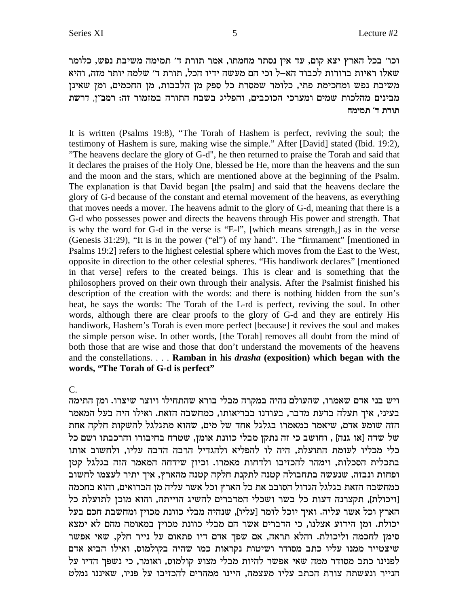וכו' בכל הארץ יצא קום, עד אין נסתר מחמתו, אמר תורת ד' תמימה משיבת נפש, כלומר שאלו ראיות ברורות לכבוד הא–ל וכי הם מעשה ידיו הכל, תורת ד׳ שלמה יותר מזה, והיא משיבת נפש ומחכימת פתי, כלומר שמסרת כל ספק מן הלבבות, מן החכמים, ומן שאינן מבינים מהלכות שמים ומערכי הכוכבים, והפליג בשבח התורה במזמור זה: רמב"ז, דרשת **dninz 'c zxez**

It is written (Psalms 19:8), "The Torah of Hashem is perfect, reviving the soul; the testimony of Hashem is sure, making wise the simple." After [David] stated (Ibid. 19:2), "The heavens declare the glory of G-d", he then returned to praise the Torah and said that it declares the praises of the Holy One, blessed be He, more than the heavens and the sun and the moon and the stars, which are mentioned above at the beginning of the Psalm. The explanation is that David began [the psalm] and said that the heavens declare the glory of G-d because of the constant and eternal movement of the heavens, as everything that moves needs a mover. The heavens admit to the glory of G-d, meaning that there is a G-d who possesses power and directs the heavens through His power and strength. That is why the word for G-d in the verse is "E-l", [which means strength,] as in the verse (Genesis 31:29), "It is in the power ("el") of my hand". The "firmament" [mentioned in Psalms 19:2] refers to the highest celestial sphere which moves from the East to the West, opposite in direction to the other celestial spheres. "His handiwork declares" [mentioned in that verse] refers to the created beings. This is clear and is something that the philosophers proved on their own through their analysis. After the Psalmist finished his description of the creation with the words: and there is nothing hidden from the sun's heat, he says the words: The Torah of the L-rd is perfect, reviving the soul. In other words, although there are clear proofs to the glory of G-d and they are entirely His handiwork, Hashem's Torah is even more perfect [because] it revives the soul and makes the simple person wise. In other words, [the Torah] removes all doubt from the mind of both those that are wise and those that don't understand the movements of the heavens and the constellations. . . . **Ramban in his** *drasha* **(exposition) which began with the words, "The Torah of G-d is perfect"**

C.

ויש בני אדם שאמרו, שהעולם נהיה במקרה מבלי בורא שהתחילו ויוצר שיצרו. ומן התימה בעיני, איך תעלה בדעת מדבר, בעודנו בבריאותו, כמחשבה הזאת. ואילו היה בעל המאמר הזה שומע אדם, שיאמר כמאמרו בגלגל אחד של מים, שהוא מתגלגל להשקות חלקה אחת ל שדה [או גנה], וחושב כי זה נתקן מבלי כוונת אומן, שטרח בחיבורו והרכבתו ושם כל כלי מכליו לעומת התועלת, היה לו<sup>'</sup> להפליא ולהגדיל<sup>'</sup> הרבה הדבה עליו, ולחשוב אותו בתכלית הסכלות, וימהר להכזיבו ולדחות מאמרו. וכיון שידחה המאמר הזה בגלגל קטן .<br>ופחות ונבזה, שנעשה בתחבולה קטנה לתקנת חלקה קטנה מהארץ, איך יתיר לעצמו לחשוב כמחשבה הזאת בגלגל הגדול הסובב את כל הארץ וכל אשר עליה מן הברואים, והוא בחכמה [ויכולת], תקצרנה דעות כל בשר ושכלי המדברים להשיג הוייתה, והוא מוכן לתועלת כל הארץ וכל אשר עליה. ואיך יוכל לומר [עליו], שנהיה מבלי כוונת מכוין ומחשבת חכם בעל יכולת. ומן הידוע אצלנו, כי הדברים אשר הם מבלי כוונת מכוין במאומה מהם לא ימצא סימן לחכמה וליכולת. והלא תראה, אם שפך אדם דיו פתאום על נייר חלק, שאי אפשר שיצטייר ממנו עליו כתב מסודר ושיטות נקראות כמו שהיה בקולמוס, ואילו הביא אדם לפנינו כתב מסודר ממה שאי אפשר להיות מבלי מצוע קולמוס, ואומר, כי נשפך הדיו על הנייר ונעשתה צורת הכתב עליו מעצמה, היינו ממהרים להכזיבו על פניו, שאיננו נמלט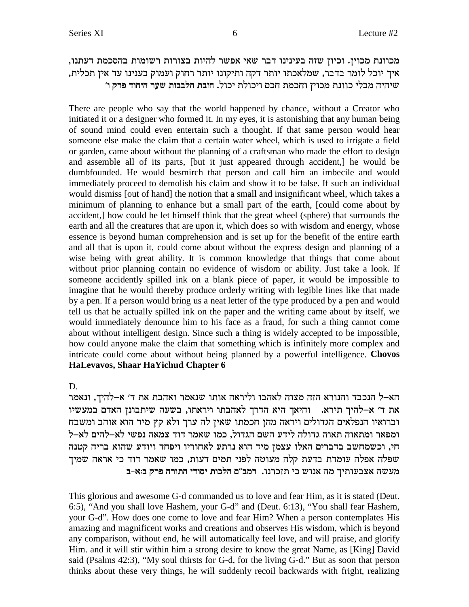, מכוונת מכוין. וכיון שזה בעינינו דבר שאי אפשר להיות בצורות רשומות בהסכמת דעתנו ,איך יוכל לומר בדבר, שמלאכתו יותר דקה ותיקונו יותר רחוק ועמוק בענינו עד אין תכלית **'e wxt cegid xry zeaald zaeg** .leki zlekie mkg znkge oiekn zpeek ilan didiy

There are people who say that the world happened by chance, without a Creator who initiated it or a designer who formed it. In my eyes, it is astonishing that any human being of sound mind could even entertain such a thought. If that same person would hear someone else make the claim that a certain water wheel, which is used to irrigate a field or garden, came about without the planning of a craftsman who made the effort to design and assemble all of its parts, [but it just appeared through accident,] he would be dumbfounded. He would besmirch that person and call him an imbecile and would immediately proceed to demolish his claim and show it to be false. If such an individual would dismiss [out of hand] the notion that a small and insignificant wheel, which takes a minimum of planning to enhance but a small part of the earth, [could come about by accident,] how could he let himself think that the great wheel (sphere) that surrounds the earth and all the creatures that are upon it, which does so with wisdom and energy, whose essence is beyond human comprehension and is set up for the benefit of the entire earth and all that is upon it, could come about without the express design and planning of a wise being with great ability. It is common knowledge that things that come about without prior planning contain no evidence of wisdom or ability. Just take a look. If someone accidently spilled ink on a blank piece of paper, it would be impossible to imagine that he would thereby produce orderly writing with legible lines like that made by a pen. If a person would bring us a neat letter of the type produced by a pen and would tell us that he actually spilled ink on the paper and the writing came about by itself, we would immediately denounce him to his face as a fraud, for such a thing cannot come about without intelligent design. Since such a thing is widely accepted to be impossible, how could anyone make the claim that something which is infinitely more complex and intricate could come about without being planned by a powerful intelligence. **Chovos HaLevavos, Shaar HaYichud Chapter 6**

D.

הא–ל הנכבד והנורא הזה מצוה לאהבו וליראה אותו שנאמר ואהבת את ד׳ א–להיך, ונאמר את ד׳ א-להיך תירא. והיאך היא הדרך לאהבתו ויראתו, בשעה שיתבונן האדם במעשיו וברואיו הנפלאים הגדולים ויראה מהן חכמתו שאין לה ערך ולא קץ מיד הוא אוהב ומשבח l ומפאר ומתאוה תאוה גדולה לידע השם הגדול, כמו שאמר דוד צמאה נפשי לא–להים לא–ל חי, וכשמחשב בדברים האלו עצמן מיד הוא נרתע לאחוריו ויפחד ויודע שהוא בריה קטנה שפלה אפלה עומדת בדעת קלה מעוטה לפני תמים דעות, כמו שאמר דוד כי אראה שמיך **a-`:a wxt dxezd iceqi zekld m"anx** .epxkfz ik yep` dn jizerav` dyrn

This glorious and awesome G-d commanded us to love and fear Him, as it is stated (Deut. 6:5), "And you shall love Hashem, your G-d" and (Deut. 6:13), "You shall fear Hashem, your G-d". How does one come to love and fear Him? When a person contemplates His amazing and magnificent works and creations and observes His wisdom, which is beyond any comparison, without end, he will automatically feel love, and will praise, and glorify Him. and it will stir within him a strong desire to know the great Name, as [King] David said (Psalms 42:3), "My soul thirsts for G-d, for the living G-d." But as soon that person thinks about these very things, he will suddenly recoil backwards with fright, realizing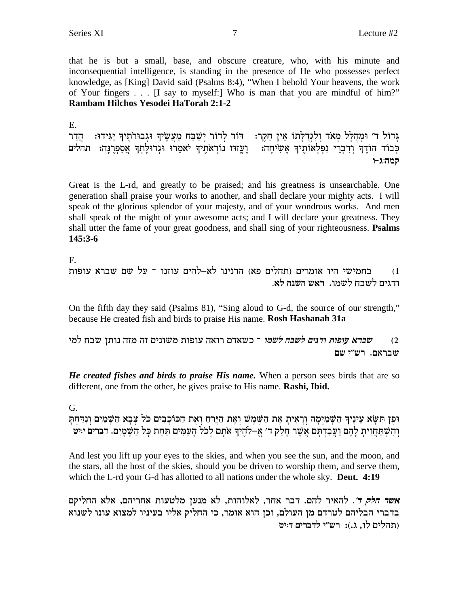that he is but a small, base, and obscure creature, who, with his minute and inconsequential intelligence, is standing in the presence of He who possesses perfect knowledge, as [King] David said (Psalms 8:4), "When I behold Your heavens, the work of Your fingers . . . [I say to myself:] Who is man that you are mindful of him?" Rambam Hilchos Yesodei HaTorah 2:1-2

Ε. גָּדוֹל ד׳ וּמְהָלָל מְאֹד וְלְגִדְלָתוֹ אֵין חֵקֵר: - דוֹר לְדוֹר יִשַּׁבַּח מַעֲשֵׂיךְ וּגְבוּרֹתֵיךְ יַגִּידוּ: - הֲדַר כְּבוֹד הוֹדֶךְ וְדִבְרִי נִפְלְאוֹתֵיךְ אֲשִׂיחָה: וֵעֲזוּז נוֹרְאֹתֵיךְ יֹאמֶרוּ וּגְדוּלַתְךָ אֲסַפְּרְנַה: תהלים קמה:ג-ו

Great is the L-rd, and greatly to be praised; and his greatness is unsearchable. One generation shall praise your works to another, and shall declare your mighty acts. I will speak of the glorious splendor of your majesty, and of your wondrous works. And men shall speak of the might of your awesome acts; and I will declare your greatness. They shall utter the fame of your great goodness, and shall sing of your righteousness. **Psalms**  $145:3-6$ 

 $F_{\cdot}$ 

```
בחמישי היו אומרים (תהלים פא) הרנינו לא–להים עוזנו ־ על שם שברא עופות
                                                             (1)ודגים לשבח לשמו. ראש השנה לא.
```
On the fifth day they said (Psalms 81), "Sing aloud to G-d, the source of our strength," because He created fish and birds to praise His name. Rosh Hashanah 31a

שברא עופות ודגים לשבח לשמו ־ כשאדם רואה עופות משונים זה מזה נותן שבח למי  $(2)$ שבראם. רש"י שם

*He created fishes and birds to praise His name.* When a person sees birds that are so different, one from the other, he gives praise to His name. Rashi, Ibid.

G.

וּפֶן תִּשָּׂא עֵינֶיךְ הַשָּׁמַיִמָה וְרָאִיתָ אֶת הַשֵּׁמֵשׁ וְאֵת הַיָּרֵחַ וְאֵת הַכּוֹכָבִים כֹּל צִבָא הַשַּׁמַיִם וְנִדַּחִתַּ והשתחוית להם ועבדתם אשר חלק ד׳ א–להיך אתם לכל העמים תחת כל השמים. דברים יוט

And lest you lift up your eyes to the skies, and when you see the sun, and the moon, and the stars, all the host of the skies, should you be driven to worship them, and serve them, which the L-rd your G-d has allotted to all nations under the whole sky. **Deut. 4:19** 

אשר ח*לק ד׳.* להאיר להם. דבר אחר, לאלוהות, לא מנען מלטעות אחריהם, אלא החליקם בדברי הבליהם לטרדם מן העולם, וכן הוא אומר, כי החליק אליו בעיניו למצוא עונו לשנוא (תהלים לו, ג.): רש״י לדברים דויט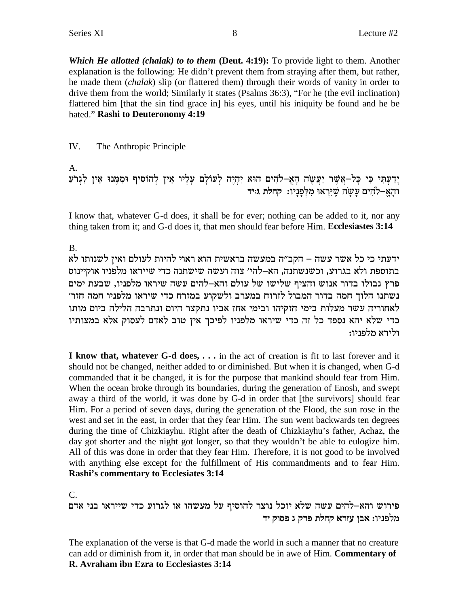Which He allotted (chalak) to to them (Deut. 4:19): To provide light to them. Another explanation is the following: He didn't prevent them from straying after them, but rather, he made them *(chalak)* slip (or flattered them) through their words of vanity in order to drive them from the world; Similarly it states (Psalms 36:3), "For he (the evil inclination) flattered him [that the sin find grace in] his eyes, until his iniquity be found and he be hated." Rashi to Deuteronomy 4:19

IV. The Anthropic Principle

 $A<sub>1</sub>$ 

יָדַעְתִּי כִּי כָּל–אֲשֶׁר יַעֲשֶׂה הָאֱ–לֹהִים הוּא יִהְיֶה לְעוֹלָם עָלְיו אֵין לְהוֹסִיף וּמִמֶּנּוּ אֵין לִגְרֹעַ<br>וּהָאֱ–לֹהִים עָשָׂה שֶׁיִּרְאוּ מִלְפָּנָיוּ: קהלת גּייד

I know that, whatever G-d does, it shall be for ever; nothing can be added to it, nor any thing taken from it; and G-d does it, that men should fear before Him. Ecclesiastes 3:14

**B.** 

ידעתי כי כל אשר עשה – הקב"ה במעשה בראשית הוא ראוי להיות לעולם ואין לשנותו לא בתוספת ולא בגרוע, וכשנשתנה, הא-להי׳ צוה ועשה שישתנה כדי שייראו מלפניו אוקיינוס פרץ גבולו בדור אנוש והציף שלישו של עולם והא–להים עשה שיראו מלפניו, שבעת ימים נשתנו הלוך חמה בדור המבול לזרוח במערב ולשקוע במזרח כדי שיראו מלפניו חמה חזר׳ לאחוריה עשר מעלות בימי חזקיהו ובימי אחז אביו נתקצר היום ונתרבה הלילה ביום מותו כדי שלא יהא נספד כל זה כדי שיראו מלפניו לפיכך אין טוב לאדם לעסוק אלא במצותיו ולירא מלפניו:

I know that, whatever G-d does, . . . in the act of creation is fit to last forever and it should not be changed, neither added to or diminished. But when it is changed, when G-d commanded that it be changed, it is for the purpose that mankind should fear from Him. When the ocean broke through its boundaries, during the generation of Enosh, and swept away a third of the world, it was done by G-d in order that [the survivors] should fear Him. For a period of seven days, during the generation of the Flood, the sun rose in the west and set in the east, in order that they fear Him. The sun went backwards ten degrees during the time of Chizkiayhu. Right after the death of Chizkiayhu's father, Achaz, the day got shorter and the night got longer, so that they wouldn't be able to eulogize him. All of this was done in order that they fear Him. Therefore, it is not good to be involved with anything else except for the fulfillment of His commandments and to fear Him. **Rashi's commentary to Ecclesiates 3:14** 

 $C_{\cdot}$ 

פירוש והא–להים עשה שלא יוכל נוצר להוסיף על מעשהו או לגרוע כדי שייראו בני אדם מלפניו: אבן עזרא קהלת פרק ג פסוק יד

The explanation of the verse is that G-d made the world in such a manner that no creature can add or diminish from it, in order that man should be in awe of Him. Commentary of R. Avraham ibn Ezra to Ecclesiastes 3:14